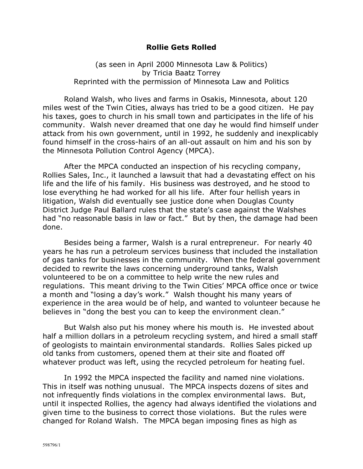## **Rollie Gets Rolled**

(as seen in April 2000 Minnesota Law & Politics) by Tricia Baatz Torrey Reprinted with the permission of Minnesota Law and Politics

Roland Walsh, who lives and farms in Osakis, Minnesota, about 120 miles west of the Twin Cities, always has tried to be a good citizen. He pay his taxes, goes to church in his small town and participates in the life of his community. Walsh never dreamed that one day he would find himself under attack from his own government, until in 1992, he suddenly and inexplicably found himself in the cross-hairs of an all-out assault on him and his son by the Minnesota Pollution Control Agency (MPCA).

After the MPCA conducted an inspection of his recycling company, Rollies Sales, Inc., it launched a lawsuit that had a devastating effect on his life and the life of his family. His business was destroyed, and he stood to lose everything he had worked for all his life. After four hellish years in litigation, Walsh did eventually see justice done when Douglas County District Judge Paul Ballard rules that the state's case against the Walshes had "no reasonable basis in law or fact." But by then, the damage had been done.

Besides being a farmer, Walsh is a rural entrepreneur. For nearly 40 years he has run a petroleum services business that included the installation of gas tanks for businesses in the community. When the federal government decided to rewrite the laws concerning underground tanks, Walsh volunteered to be on a committee to help write the new rules and regulations. This meant driving to the Twin Cities' MPCA office once or twice a month and "losing a day's work." Walsh thought his many years of experience in the area would be of help, and wanted to volunteer because he believes in "dong the best you can to keep the environment clean."

But Walsh also put his money where his mouth is. He invested about half a million dollars in a petroleum recycling system, and hired a small staff of geologists to maintain environmental standards. Rollies Sales picked up old tanks from customers, opened them at their site and floated off whatever product was left, using the recycled petroleum for heating fuel.

In 1992 the MPCA inspected the facility and named nine violations. This in itself was nothing unusual. The MPCA inspects dozens of sites and not infrequently finds violations in the complex environmental laws. But, until it inspected Rollies, the agency had always identified the violations and given time to the business to correct those violations. But the rules were changed for Roland Walsh. The MPCA began imposing fines as high as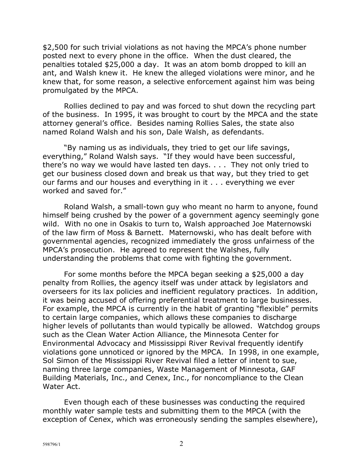\$2,500 for such trivial violations as not having the MPCA's phone number posted next to every phone in the office. When the dust cleared, the penalties totaled \$25,000 a day. It was an atom bomb dropped to kill an ant, and Walsh knew it. He knew the alleged violations were minor, and he knew that, for some reason, a selective enforcement against him was being promulgated by the MPCA.

Rollies declined to pay and was forced to shut down the recycling part of the business. In 1995, it was brought to court by the MPCA and the state attorney general's office. Besides naming Rollies Sales, the state also named Roland Walsh and his son, Dale Walsh, as defendants.

"By naming us as individuals, they tried to get our life savings, everything," Roland Walsh says. "If they would have been successful, there's no way we would have lasted ten days.  $\ldots$  They not only tried to get our business closed down and break us that way, but they tried to get our farms and our houses and everything in it . . . everything we ever worked and saved for."

Roland Walsh, a small-town guy who meant no harm to anyone, found himself being crushed by the power of a government agency seemingly gone wild. With no one in Osakis to turn to, Walsh approached Joe Maternowski of the law firm of Moss & Barnett. Maternowski, who has dealt before with governmental agencies, recognized immediately the gross unfairness of the MPCAís prosecution. He agreed to represent the Walshes, fully understanding the problems that come with fighting the government.

For some months before the MPCA began seeking a \$25,000 a day penalty from Rollies, the agency itself was under attack by legislators and overseers for its lax policies and inefficient regulatory practices. In addition, it was being accused of offering preferential treatment to large businesses. For example, the MPCA is currently in the habit of granting "flexible" permits to certain large companies, which allows these companies to discharge higher levels of pollutants than would typically be allowed. Watchdog groups such as the Clean Water Action Alliance, the Minnesota Center for Environmental Advocacy and Mississippi River Revival frequently identify violations gone unnoticed or ignored by the MPCA. In 1998, in one example, Sol Simon of the Mississippi River Revival filed a letter of intent to sue, naming three large companies, Waste Management of Minnesota, GAF Building Materials, Inc., and Cenex, Inc., for noncompliance to the Clean Water Act.

Even though each of these businesses was conducting the required monthly water sample tests and submitting them to the MPCA (with the exception of Cenex, which was erroneously sending the samples elsewhere),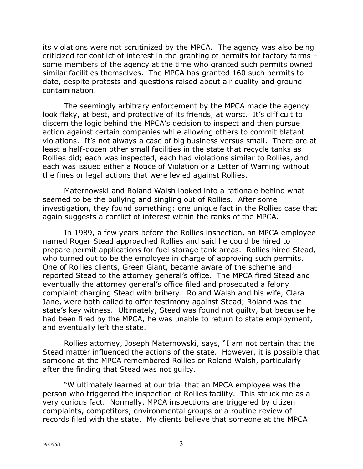its violations were not scrutinized by the MPCA. The agency was also being criticized for conflict of interest in the granting of permits for factory farms some members of the agency at the time who granted such permits owned similar facilities themselves. The MPCA has granted 160 such permits to date, despite protests and questions raised about air quality and ground contamination.

The seemingly arbitrary enforcement by the MPCA made the agency look flaky, at best, and protective of its friends, at worst. It's difficult to discern the logic behind the MPCAís decision to inspect and then pursue action against certain companies while allowing others to commit blatant violations. It's not always a case of big business versus small. There are at least a half-dozen other small facilities in the state that recycle tanks as Rollies did; each was inspected, each had violations similar to Rollies, and each was issued either a Notice of Violation or a Letter of Warning without the fines or legal actions that were levied against Rollies.

Maternowski and Roland Walsh looked into a rationale behind what seemed to be the bullying and singling out of Rollies. After some investigation, they found something: one unique fact in the Rollies case that again suggests a conflict of interest within the ranks of the MPCA.

In 1989, a few years before the Rollies inspection, an MPCA employee named Roger Stead approached Rollies and said he could be hired to prepare permit applications for fuel storage tank areas. Rollies hired Stead, who turned out to be the employee in charge of approving such permits. One of Rollies clients, Green Giant, became aware of the scheme and reported Stead to the attorney general's office. The MPCA fired Stead and eventually the attorney general's office filed and prosecuted a felony complaint charging Stead with bribery. Roland Walsh and his wife, Clara Jane, were both called to offer testimony against Stead; Roland was the state's key witness. Ultimately, Stead was found not quilty, but because he had been fired by the MPCA, he was unable to return to state employment, and eventually left the state.

Rollies attorney, Joseph Maternowski, says, "I am not certain that the Stead matter influenced the actions of the state. However, it is possible that someone at the MPCA remembered Rollies or Roland Walsh, particularly after the finding that Stead was not guilty.

ìW ultimately learned at our trial that an MPCA employee was the person who triggered the inspection of Rollies facility. This struck me as a very curious fact. Normally, MPCA inspections are triggered by citizen complaints, competitors, environmental groups or a routine review of records filed with the state. My clients believe that someone at the MPCA